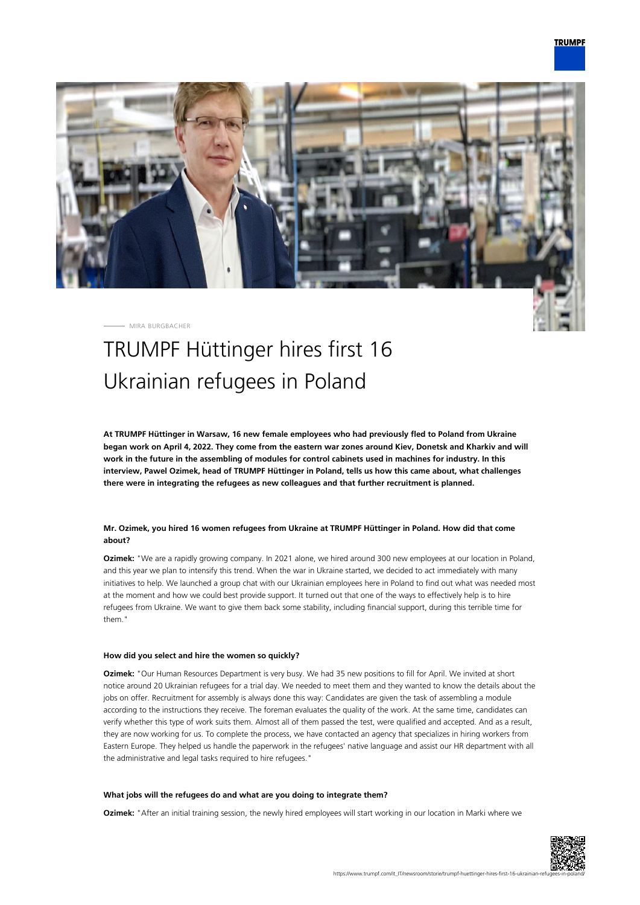

MIRA BURGBACHER

# TRUMPF Hüttinger hires first 16 Ukrainian refugees in Poland

**At TRUMPF Hüttinger in Warsaw, 16 new female employees who had previously fled to Poland from Ukraine began work on April 4, 2022. They come from the eastern war zones around Kiev, Donetsk and Kharkiv and will work in the future in the assembling of modules for control cabinets used in machines for industry. In this interview, Pawel Ozimek, head of TRUMPF Hüttinger in Poland, tells us how this came about, what challenges there were in integrating the refugees as new colleagues and that further recruitment is planned.**

## **Mr. Ozimek, you hired 16 women refugees from Ukraine at TRUMPF Hüttinger in Poland. How did that come about?**

**Ozimek:** "We are a rapidly growing company. In 2021 alone, we hired around 300 new employees at our location in Poland, and this year we plan to intensify this trend. When the war in Ukraine started, we decided to act immediately with many initiatives to help. We launched a group chat with our Ukrainian employees here in Poland to find out what was needed most at the moment and how we could best provide support. It turned out that one of the ways to effectively help is to hire refugees from Ukraine. We want to give them back some stability, including financial support, during this terrible time for them."

## **How did you select and hire the women so quickly?**

**Ozimek:** "Our Human Resources Department is very busy. We had 35 new positions to fill for April. We invited at short notice around 20 Ukrainian refugees for a trial day. We needed to meet them and they wanted to know the details about the jobs on offer. Recruitment for assembly is always done this way: Candidates are given the task of assembling a module according to the instructions they receive. The foreman evaluates the quality of the work. At the same time, candidates can verify whether this type of work suits them. Almost all of them passed the test, were qualified and accepted. And as a result, they are now working for us. To complete the process, we have contacted an agency that specializes in hiring workers from Eastern Europe. They helped us handle the paperwork in the refugees' native language and assist our HR department with all the administrative and legal tasks required to hire refugees."

#### **What jobs will the refugees do and what are you doing to integrate them?**

**Ozimek:** "After an initial training session, the newly hired employees will start working in our location in Marki where we

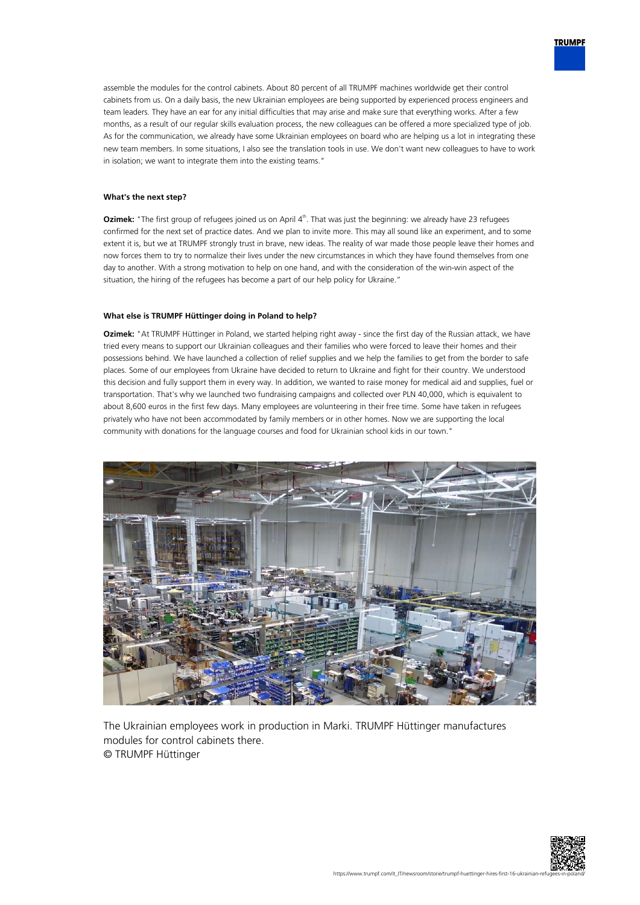assemble the modules for the control cabinets. About 80 percent of all TRUMPF machines worldwide get their control cabinets from us. On a daily basis, the new Ukrainian employees are being supported by experienced process engineers and team leaders. They have an ear for any initial difficulties that may arise and make sure that everything works. After a few months, as a result of our regular skills evaluation process, the new colleagues can be offered a more specialized type of job. As for the communication, we already have some Ukrainian employees on board who are helping us a lot in integrating these new team members. In some situations, I also see the translation tools in use. We don't want new colleagues to have to work in isolation; we want to integrate them into the existing teams."

### **What's the next step?**

**Ozimek:** "The first group of refugees joined us on April 4<sup>th</sup>. That was just the beginning: we already have 23 refugees confirmed for the next set of practice dates. And we plan to invite more. This may all sound like an experiment, and to some extent it is, but we at TRUMPF strongly trust in brave, new ideas. The reality of war made those people leave their homes and now forces them to try to normalize their lives under the new circumstances in which they have found themselves from one day to another. With a strong motivation to help on one hand, and with the consideration of the win-win aspect of the situation, the hiring of the refugees has become a part of our help policy for Ukraine."

#### **What else is TRUMPF Hüttinger doing in Poland to help?**

**Ozimek:** "At TRUMPF Hüttinger in Poland, we started helping right away - since the first day of the Russian attack, we have tried every means to support our Ukrainian colleagues and their families who were forced to leave their homes and their possessions behind. We have launched a collection of relief supplies and we help the families to get from the border to safe places. Some of our employees from Ukraine have decided to return to Ukraine and fight for their country. We understood this decision and fully support them in every way. In addition, we wanted to raise money for medical aid and supplies, fuel or transportation. That's why we launched two fundraising campaigns and collected over PLN 40,000, which is equivalent to about 8,600 euros in the first few days. Many employees are volunteering in their free time. Some have taken in refugees privately who have not been accommodated by family members or in other homes. Now we are supporting the local community with donations for the language courses and food for Ukrainian school kids in our town."



The Ukrainian employees work in production in Marki. TRUMPF Hüttinger manufactures modules for control cabinets there. © TRUMPF Hüttinger



**TRUMPF**